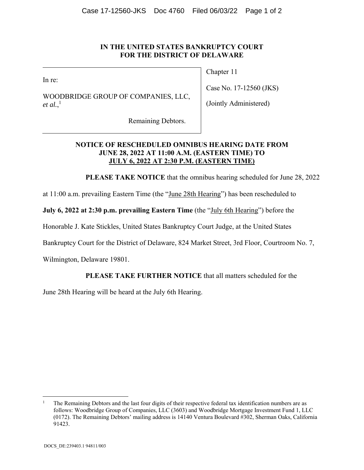## **IN THE UNITED STATES BANKRUPTCY COURT FOR THE DISTRICT OF DELAWARE**

In re:

WOODBRIDGE GROUP OF COMPANIES, LLC, *et al.*, 1

Chapter 11

Case No. 17-12560 (JKS)

(Jointly Administered)

Remaining Debtors.

## **NOTICE OF RESCHEDULED OMNIBUS HEARING DATE FROM JUNE 28, 2022 AT 11:00 A.M. (EASTERN TIME) TO JULY 6, 2022 AT 2:30 P.M. (EASTERN TIME)**

**PLEASE TAKE NOTICE** that the omnibus hearing scheduled for June 28, 2022

at 11:00 a.m. prevailing Eastern Time (the "June 28th Hearing") has been rescheduled to

**July 6, 2022 at 2:30 p.m. prevailing Eastern Time** (the "July 6th Hearing") before the

Honorable J. Kate Stickles, United States Bankruptcy Court Judge, at the United States

Bankruptcy Court for the District of Delaware, 824 Market Street, 3rd Floor, Courtroom No. 7,

Wilmington, Delaware 19801.

## **PLEASE TAKE FURTHER NOTICE** that all matters scheduled for the

June 28th Hearing will be heard at the July 6th Hearing.

 $\overline{a}$ 

<sup>1</sup> The Remaining Debtors and the last four digits of their respective federal tax identification numbers are as follows: Woodbridge Group of Companies, LLC (3603) and Woodbridge Mortgage Investment Fund 1, LLC (0172). The Remaining Debtors' mailing address is 14140 Ventura Boulevard #302, Sherman Oaks, California 91423.